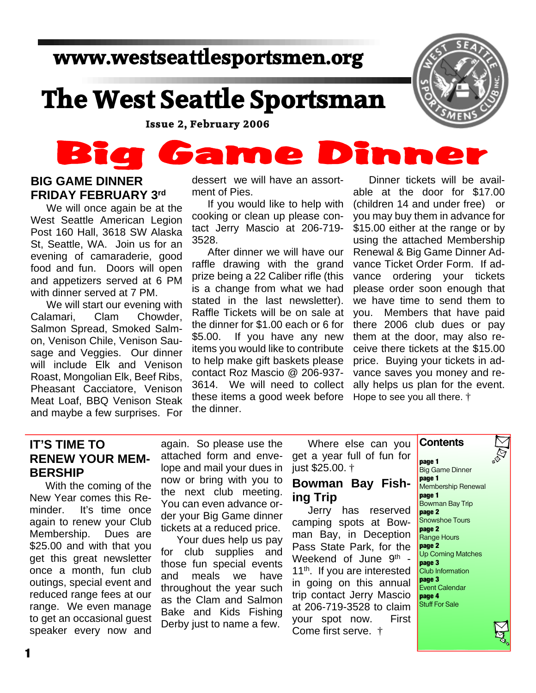## **www.westseattlesportsmen.org**

# **The West Seattle Sportsman**

 **Issue 2, February 2006**

#### n DI Game  $\bullet$

#### **BIG GAME DINNER FRIDAY FEBRUARY 3rd**

We will once again be at the West Seattle American Legion Post 160 Hall, 3618 SW Alaska St, Seattle, WA. Join us for an evening of camaraderie, good food and fun. Doors will open and appetizers served at 6 PM with dinner served at 7 PM.

We will start our evening with Calamari, Clam Chowder, Salmon Spread, Smoked Salmon, Venison Chile, Venison Sausage and Veggies. Our dinner will include Elk and Venison Roast, Mongolian Elk, Beef Ribs, Pheasant Cacciatore, Venison Meat Loaf, BBQ Venison Steak and maybe a few surprises. For dessert we will have an assortment of Pies.

If you would like to help with cooking or clean up please contact Jerry Mascio at 206-719- 3528.

After dinner we will have our raffle drawing with the grand prize being a 22 Caliber rifle (this is a change from what we had stated in the last newsletter). Raffle Tickets will be on sale at the dinner for \$1.00 each or 6 for \$5.00. If you have any new items you would like to contribute to help make gift baskets please contact Roz Mascio @ 206-937- 3614. We will need to collect these items a good week before the dinner.

Dinner tickets will be available at the door for \$17.00 (children 14 and under free) or you may buy them in advance for \$15.00 either at the range or by using the attached Membership Renewal & Big Game Dinner Advance Ticket Order Form. If advance ordering your tickets please order soon enough that we have time to send them to you. Members that have paid there 2006 club dues or pay them at the door, may also receive there tickets at the \$15.00 price. Buying your tickets in advance saves you money and really helps us plan for the event. Hope to see you all there. †

#### **IT'S TIME TO RENEW YOUR MEM-BERSHIP**

With the coming of the New Year comes this Reminder. It's time once again to renew your Club Membership. Dues are \$25.00 and with that you get this great newsletter once a month, fun club outings, special event and reduced range fees at our range. We even manage to get an occasional guest speaker every now and again. So please use the attached form and envelope and mail your dues in now or bring with you to the next club meeting. You can even advance order your Big Game dinner tickets at a reduced price.

Your dues help us pay for club supplies and those fun special events and meals we have throughout the year such as the Clam and Salmon Bake and Kids Fishing Derby just to name a few.

Where else can you get a year full of fun for just \$25.00. †

#### **Bowman Bay Fishing Trip**

Jerry has reserved camping spots at Bowman Bay, in Deception Pass State Park, for the Weekend of June 9<sup>th</sup> -11<sup>th</sup>. If you are interested in going on this annual trip contact Jerry Mascio at 206-719-3528 to claim your spot now. First Come first serve. †

**page 1** Big Game Dinner **page 1** Membership Renewal **page 1** Bowman Bay Trip **page 2** Snowshoe Tours **page 2** Range Hours **page 2** Up Coming Matches **page 3** Club Information **page 3 Event Calendar page 4** Stuff For Sale

**Contents**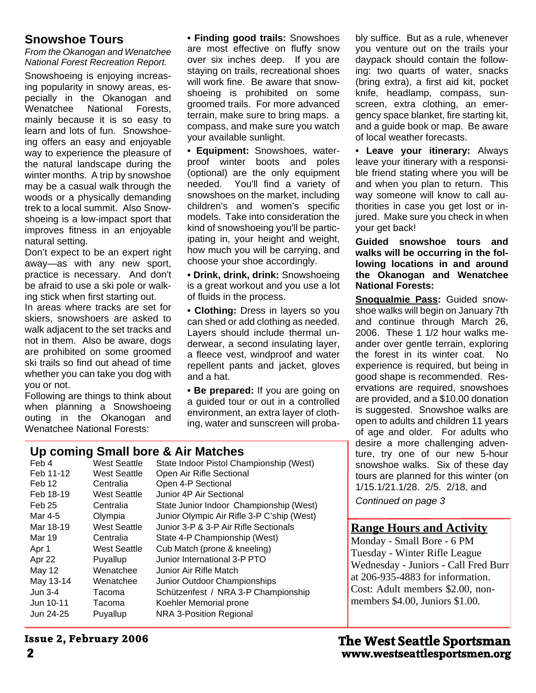#### **Snowshoe Tours**

*From the Okanogan and Wenatchee National Forest Recreation Report.*

Snowshoeing is enjoying increasing popularity in snowy areas, especially in the Okanogan and Wenatchee National Forests, mainly because it is so easy to learn and lots of fun. Snowshoeing offers an easy and enjoyable way to experience the pleasure of the natural landscape during the winter months. A trip by snowshoe may be a casual walk through the woods or a physically demanding trek to a local summit. Also Snowshoeing is a low-impact sport that improves fitness in an enjoyable natural setting.

Don't expect to be an expert right away—as with any new sport, practice is necessary. And don't be afraid to use a ski pole or walking stick when first starting out.

In areas where tracks are set for skiers, snowshoers are asked to walk adjacent to the set tracks and not in them. Also be aware, dogs are prohibited on some groomed ski trails so find out ahead of time whether you can take you dog with you or not.

Following are things to think about when planning a Snowshoeing outing in the Okanogan and Wenatchee National Forests:

**• Finding good trails:** Snowshoes are most effective on fluffy snow over six inches deep. If you are staying on trails, recreational shoes will work fine. Be aware that snowshoeing is prohibited on some groomed trails. For more advanced terrain, make sure to bring maps. a compass, and make sure you watch your available sunlight.

**• Equipment:** Snowshoes, waterproof winter boots and poles (optional) are the only equipment needed. You'll find a variety of snowshoes on the market, including children's and women's specific models. Take into consideration the kind of snowshoeing you'll be participating in, your height and weight, how much you will be carrying, and choose your shoe accordingly.

**• Drink, drink, drink:** Snowshoeing is a great workout and you use a lot of fluids in the process.

**• Clothing:** Dress in layers so you can shed or add clothing as needed. Layers should include thermal underwear, a second insulating layer, a fleece vest, windproof and water repellent pants and jacket, gloves and a hat.

**• Be prepared:** If you are going on a guided tour or out in a controlled environment, an extra layer of clothing, water and sunscreen will proba-

#### **Up coming Small bore & Air Matches**

| --------          |                     |                                            |
|-------------------|---------------------|--------------------------------------------|
| Feb 4             | <b>West Seattle</b> | State Indoor Pistol Championship (West)    |
| Feb 11-12         | <b>West Seattle</b> | Open Air Rifle Sectional                   |
| Feb 12            | Centralia           | Open 4-P Sectional                         |
| Feb 18-19         | <b>West Seattle</b> | Junior 4P Air Sectional                    |
| Feb <sub>25</sub> | Centralia           | State Junior Indoor Championship (West)    |
| Mar 4-5           | Olympia             | Junior Olympic Air Rifle 3-P C'ship (West) |
| Mar 18-19         | <b>West Seattle</b> | Junior 3-P & 3-P Air Rifle Sectionals      |
| Mar 19            | Centralia           | State 4-P Championship (West)              |
| Apr 1             | <b>West Seattle</b> | Cub Match (prone & kneeling)               |
| Apr 22            | Puyallup            | Junior International 3-P PTO               |
| May 12            | Wenatchee           | Junior Air Rifle Match                     |
| May 13-14         | Wenatchee           | Junior Outdoor Championships               |
| Jun 3-4           | Tacoma              | Schützenfest / NRA 3-P Championship        |
| Jun 10-11         | Tacoma              | Koehler Memorial prone                     |
| Jun 24-25         | Puyallup            | NRA 3-Position Regional                    |
|                   |                     |                                            |

bly suffice. But as a rule, whenever you venture out on the trails your daypack should contain the following: two quarts of water, snacks (bring extra), a first aid kit, pocket knife, headlamp, compass, sunscreen, extra clothing, an emergency space blanket, fire starting kit, and a guide book or map. Be aware of local weather forecasts.

**• Leave your itinerary:** Always leave your itinerary with a responsible friend stating where you will be and when you plan to return. This way someone will know to call authorities in case you get lost or injured. Make sure you check in when your get back!

**Guided snowshoe tours and walks will be occurring in the following locations in and around the Okanogan and Wenatchee National Forests:**

**Snoqualmie Pass:** Guided snowshoe walks will begin on January 7th and continue through March 26, 2006. These 1 1/2 hour walks meander over gentle terrain, exploring the forest in its winter coat. No experience is required, but being in good shape is recommended. Reservations are required, snowshoes are provided, and a \$10.00 donation is suggested. Snowshoe walks are open to adults and children 11 years of age and older. For adults who desire a more challenging adventure, try one of our new 5-hour snowshoe walks. Six of these day tours are planned for this winter (on 1/15.1/21.1/28. 2/5. 2/18, and

*Continued on page 3*

#### **Range Hours and Activity**

Monday - Small Bore - 6 PM Tuesday - Winter Rifle League Wednesday - Juniors - Call Fred Burr at 206-935-4883 for information. Cost: Adult members \$2.00, nonmembers \$4.00, Juniors \$1.00.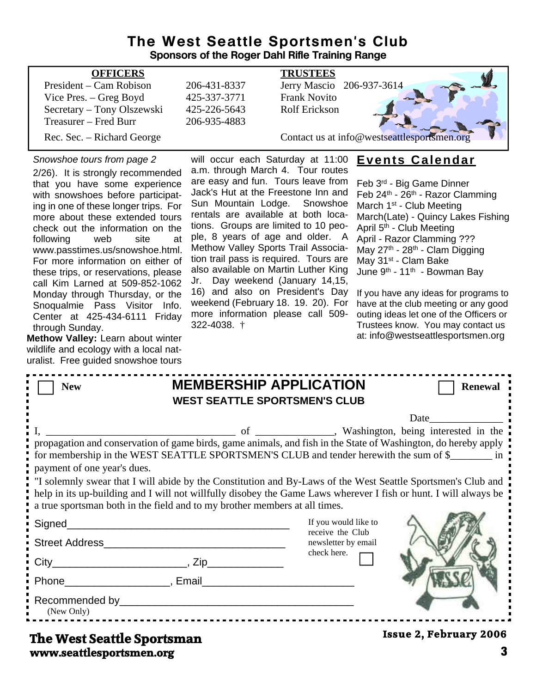#### **The West Seattle Sportsmen's Club Sponsors of the Roger Dahl Rifle Training Range**

| <b>OFFICERS</b>            |              | <b>TRUSTEES</b>                             |
|----------------------------|--------------|---------------------------------------------|
| President – Cam Robison    | 206-431-8337 | Jerry Mascio 206-937-3614                   |
| Vice Pres. $-$ Greg Boyd   | 425-337-3771 | <b>Frank Novito</b>                         |
| Secretary – Tony Olszewski | 425-226-5643 | <b>Rolf Erickson</b>                        |
| Treasurer – Fred Burr      | 206-935-4883 |                                             |
| Rec. Sec. – Richard George |              | Contact us at info@westseattlesportsmen.org |

#### *Snowshoe tours from page 2*

2/26). It is strongly recommended that you have some experience with snowshoes before participating in one of these longer trips. For more about these extended tours check out the information on the following web site at www.passtimes.us/snowshoe.html. For more information on either of these trips, or reservations, please call Kim Larned at 509-852-1062 Monday through Thursday, or the Snoqualmie Pass Visitor Info. Center at 425-434-6111 Friday through Sunday.

**Methow Valley:** Learn about winter wildlife and ecology with a local naturalist. Free guided snowshoe tours

will occur each Saturday at 11:00 a.m. through March 4. Tour routes are easy and fun. Tours leave from Jack's Hut at the Freestone Inn and Sun Mountain Lodge. Snowshoe rentals are available at both locations. Groups are limited to 10 people, 8 years of age and older. A Methow Valley Sports Trail Association trail pass is required. Tours are also available on Martin Luther King Jr. Day weekend (January 14,15, 16) and also on President's Day weekend (February 18. 19. 20). For more information please call 509- 322-4038. †

#### **Events Calendar**

Feb 3rd - Big Game Dinner Feb 24th - 26th - Razor Clamming March  $1^{st}$  - Club Meeting March(Late) - Quincy Lakes Fishing April 5<sup>th</sup> - Club Meeting April - Razor Clamming ??? May 27<sup>th</sup> - 28<sup>th</sup> - Clam Digging May 31<sup>st</sup> - Clam Bake June 9<sup>th</sup> - 11<sup>th</sup> - Bowman Bay

If you have any ideas for programs to have at the club meeting or any good outing ideas let one of the Officers or Trustees know. You may contact us at: info@westseattlesportsmen.org

| <b>New</b>                                                                                                                                                                                                                                   | <b>MEMBERSHIP APPLICATION</b><br><b>Renewal</b><br><b>WEST SEATTLE SPORTSMEN'S CLUB</b>                                                                                                                                                                                                                                                                                                                                                                                                                |
|----------------------------------------------------------------------------------------------------------------------------------------------------------------------------------------------------------------------------------------------|--------------------------------------------------------------------------------------------------------------------------------------------------------------------------------------------------------------------------------------------------------------------------------------------------------------------------------------------------------------------------------------------------------------------------------------------------------------------------------------------------------|
| payment of one year's dues.<br>a true sportsman both in the field and to my brother members at all times.                                                                                                                                    | Date<br>washington, being interested in the<br>propagation and conservation of game birds, game animals, and fish in the State of Washington, do hereby apply<br>for membership in the WEST SEATTLE SPORTSMEN'S CLUB and tender herewith the sum of \$________ in :<br>I solemnly swear that I will abide by the Constitution and By-Laws of the West Seattle Sportsmen's Club and<br>help in its up-building and I will not willfully disobey the Game Laws wherever I fish or hunt. I will always be |
|                                                                                                                                                                                                                                              | If you would like to<br>receive the Club                                                                                                                                                                                                                                                                                                                                                                                                                                                               |
|                                                                                                                                                                                                                                              | newsletter by email                                                                                                                                                                                                                                                                                                                                                                                                                                                                                    |
|                                                                                                                                                                                                                                              | check here.                                                                                                                                                                                                                                                                                                                                                                                                                                                                                            |
|                                                                                                                                                                                                                                              |                                                                                                                                                                                                                                                                                                                                                                                                                                                                                                        |
| Recommended by example and the commended by the comment of the commended by the comment of the comment of the comment of the comment of the comment of the comment of the comment of the comment of the comment of the comment<br>(New Only) |                                                                                                                                                                                                                                                                                                                                                                                                                                                                                                        |

#### **www.seattlesportsmen.org 3 The West Seattle Sportsman**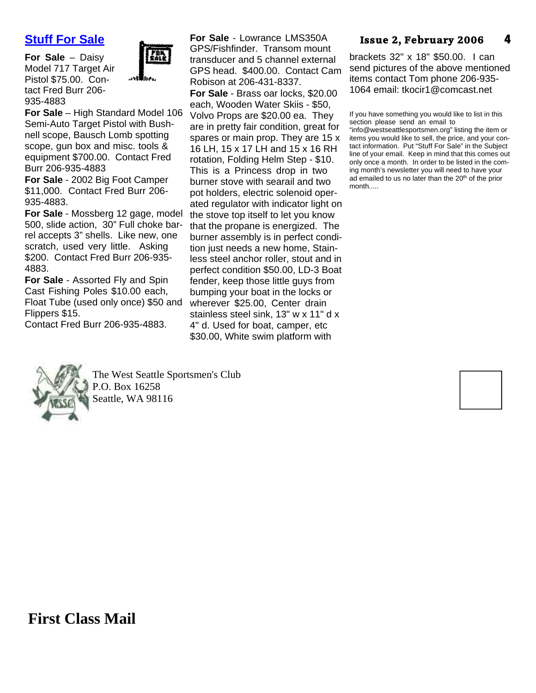#### **Stuff For Sale**

**For Sale** – Daisy Model 717 Target Air Pistol \$75.00. Contact Fred Burr 206- 935-4883



**For Sale** – High Standard Model 106 Semi-Auto Target Pistol with Bushnell scope, Bausch Lomb spotting scope, gun box and misc. tools & equipment \$700.00. Contact Fred Burr 206-935-4883

**For Sale** - 2002 Big Foot Camper \$11,000. Contact Fred Burr 206- 935-4883.

**For Sale** - Mossberg 12 gage, model 500, slide action, 30" Full choke barrel accepts 3" shells. Like new, one scratch, used very little. Asking \$200. Contact Fred Burr 206-935- 4883.

**For Sale** - Assorted Fly and Spin Cast Fishing Poles \$10.00 each, Float Tube (used only once) \$50 and Flippers \$15.

Contact Fred Burr 206-935-4883.

**For Sale** - Lowrance LMS350A GPS/Fishfinder. Transom mount transducer and 5 channel external GPS head. \$400.00. Contact Cam Robison at 206-431-8337.

**For Sale** - Brass oar locks, \$20.00 each, Wooden Water Skiis - \$50, Volvo Props are \$20.00 ea. They are in pretty fair condition, great for spares or main prop. They are 15 x 16 LH, 15 x 17 LH and 15 x 16 RH rotation, Folding Helm Step - \$10. This is a Princess drop in two burner stove with searail and two pot holders, electric solenoid operated regulator with indicator light on the stove top itself to let you know that the propane is energized. The burner assembly is in perfect condition just needs a new home, Stainless steel anchor roller, stout and in perfect condition \$50.00, LD-3 Boat fender, keep those little guys from bumping your boat in the locks or wherever \$25.00, Center drain stainless steel sink, 13" w x 11" d x 4" d. Used for boat, camper, etc \$30.00, White swim platform with

#### **4 Issue 2, February 2006**

brackets 32" x 18" \$50.00. I can send pictures of the above mentioned items contact Tom phone 206-935- 1064 email: tkocir1@comcast.net

If you have something you would like to list in this section please send an email to

"info@westseattlesportsmen.org" listing the item or items you would like to sell, the price, and your contact information. Put "Stuff For Sale" in the Subject line of your email. Keep in mind that this comes out only once a month. In order to be listed in the coming month's newsletter you will need to have your ad emailed to us no later than the 20<sup>th</sup> of the prior month.....



The West Seattle Sportsmen's Club P.O. Box 16258 Seattle, WA 98116

**First Class Mail**